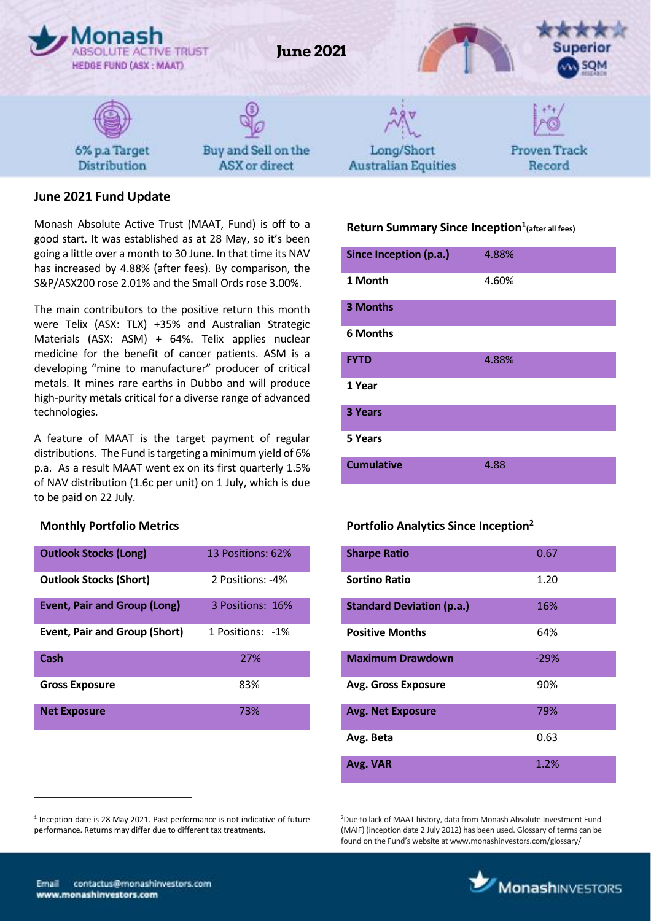

# **June 2021 Fund Update**

Monash Absolute Active Trust (MAAT, Fund) is off to a good start. It was established as at 28 May, so it's been going a little over a month to 30 June. In that time its NAV has increased by 4.88% (after fees). By comparison, the S&P/ASX200 rose 2.01% and the Small Ords rose 3.00%.

The main contributors to the positive return this month were Telix (ASX: TLX) +35% and Australian Strategic Materials (ASX: ASM) + 64%. Telix applies nuclear medicine for the benefit of cancer patients. ASM is a developing "mine to manufacturer" producer of critical metals. It mines rare earths in Dubbo and will produce high-purity metals critical for a diverse range of advanced technologies.

A feature of MAAT is the target payment of regular distributions. The Fund istargeting a minimum yield of 6% p.a. As a result MAAT went ex on its first quarterly 1.5% of NAV distribution (1.6c per unit) on 1 July, which is due to be paid on 22 July.

#### **Monthly Portfolio Metrics**

| <b>Outlook Stocks (Long)</b>         | 13 Positions: 62% |
|--------------------------------------|-------------------|
| <b>Outlook Stocks (Short)</b>        | 2 Positions: -4%  |
| <b>Event, Pair and Group (Long)</b>  | 3 Positions: 16%  |
| <b>Event, Pair and Group (Short)</b> | 1 Positions: -1%  |
| Cash                                 | 27%               |
| <b>Gross Exposure</b>                | 83%               |
| <b>Net Exposure</b>                  | 73%               |

## **Return Summary Since Inception<sup>1</sup> (after all fees)**

| Since Inception (p.a.) | 4.88% |
|------------------------|-------|
| 1 Month                | 4.60% |
| 3 Months               |       |
| <b>6 Months</b>        |       |
| <b>FYTD</b>            | 4.88% |
| 1 Year                 |       |
| 3 Years                |       |
| 5 Years                |       |
| <b>Cumulative</b>      | 4.88  |

#### **Portfolio Analytics Since Inception<sup>2</sup>**

| <b>Sharpe Ratio</b>              | 0.67   |
|----------------------------------|--------|
| <b>Sortino Ratio</b>             | 1.20   |
| <b>Standard Deviation (p.a.)</b> | 16%    |
| <b>Positive Months</b>           | 64%    |
| <b>Maximum Drawdown</b>          | $-29%$ |
| <b>Avg. Gross Exposure</b>       | 90%    |
| <b>Avg. Net Exposure</b>         | 79%    |
| Avg. Beta                        | 0.63   |
| Avg. VAR                         | 1.2%   |

<sup>2</sup>Due to lack of MAAT history, data from Monash Absolute Investment Fund (MAIF) (inception date 2 July 2012) has been used. Glossary of terms can be found on the Fund's website at www.monashinvestors.com/glossary/



 $\overline{a}$ 

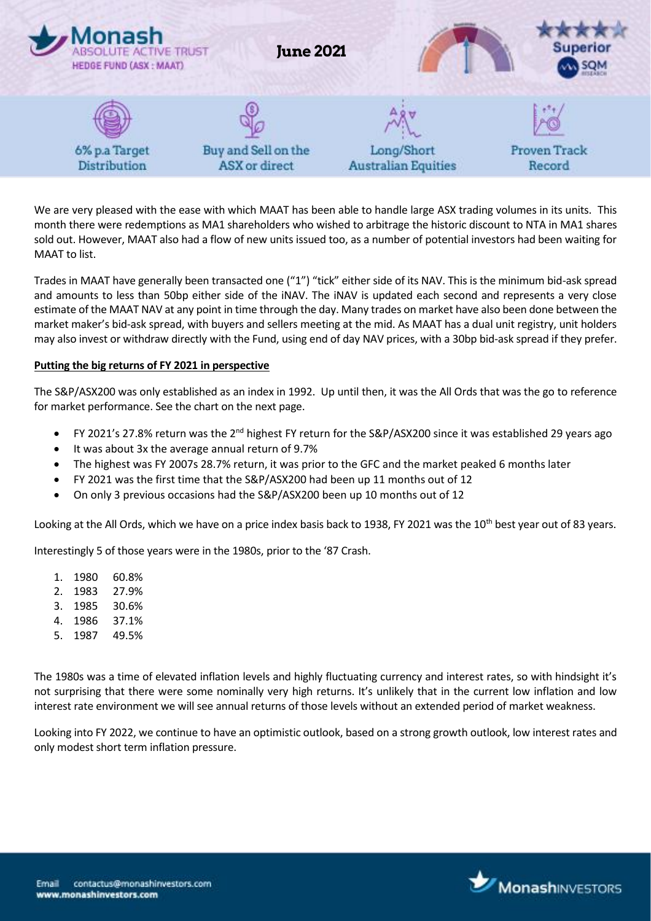

We are very pleased with the ease with which MAAT has been able to handle large ASX trading volumes in its units. This month there were redemptions as MA1 shareholders who wished to arbitrage the historic discount to NTA in MA1 shares sold out. However, MAAT also had a flow of new units issued too, as a number of potential investors had been waiting for MAAT to list.

Trades in MAAT have generally been transacted one ("1") "tick" either side of its NAV. This is the minimum bid-ask spread and amounts to less than 50bp either side of the iNAV. The iNAV is updated each second and represents a very close estimate of the MAAT NAV at any point in time through the day. Many trades on market have also been done between the market maker's bid-ask spread, with buyers and sellers meeting at the mid. As MAAT has a dual unit registry, unit holders may also invest or withdraw directly with the Fund, using end of day NAV prices, with a 30bp bid-ask spread if they prefer.

#### **Putting the big returns of FY 2021 in perspective**

The S&P/ASX200 was only established as an index in 1992. Up until then, it was the All Ords that was the go to reference for market performance. See the chart on the next page.

- FY 2021's 27.8% return was the 2<sup>nd</sup> highest FY return for the S&P/ASX200 since it was established 29 years ago
- It was about 3x the average annual return of 9.7%
- The highest was FY 2007s 28.7% return, it was prior to the GFC and the market peaked 6 months later
- FY 2021 was the first time that the S&P/ASX200 had been up 11 months out of 12
- On only 3 previous occasions had the S&P/ASX200 been up 10 months out of 12

Looking at the All Ords, which we have on a price index basis back to 1938, FY 2021 was the 10<sup>th</sup> best year out of 83 years.

Interestingly 5 of those years were in the 1980s, prior to the '87 Crash.

- 1. 1980 60.8%
- 2. 1983 27.9%
- 3. 1985 30.6%
- 4. 1986 37.1%
- 5. 1987 49.5%

The 1980s was a time of elevated inflation levels and highly fluctuating currency and interest rates, so with hindsight it's not surprising that there were some nominally very high returns. It's unlikely that in the current low inflation and low interest rate environment we will see annual returns of those levels without an extended period of market weakness.

Looking into FY 2022, we continue to have an optimistic outlook, based on a strong growth outlook, low interest rates and only modest short term inflation pressure.

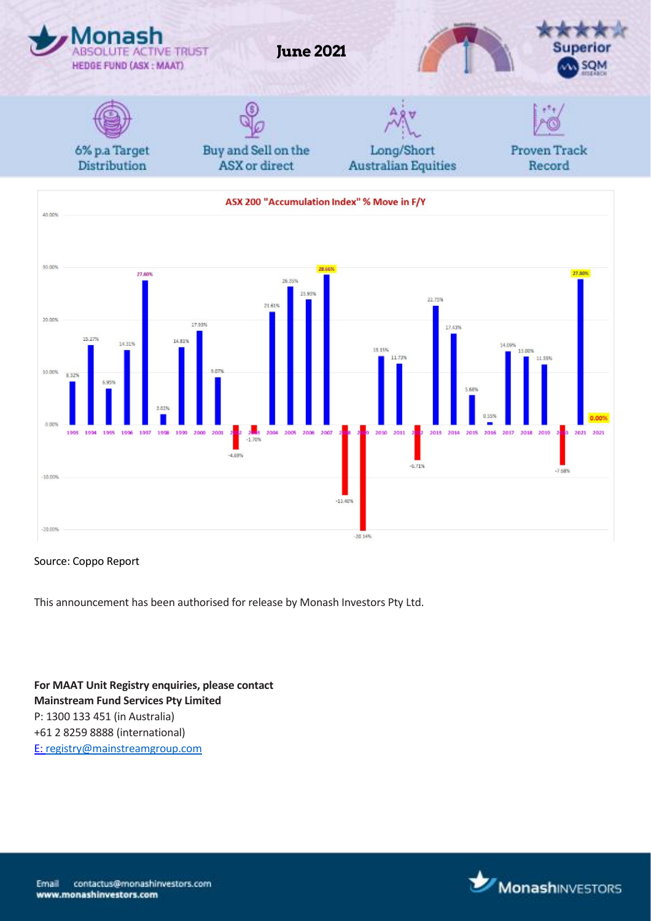

#### Source: Coppo Report

This announcement has been authorised for release by Monash Investors Pty Ltd.

**For MAAT Unit Registry enquiries, please contact Mainstream Fund Services Pty Limited** P: 1300 133 451 (in Australia) +61 2 8259 8888 (international) E[: registry@mainstreamgroup.com](mailto:registry@mainstreamgroup.com)